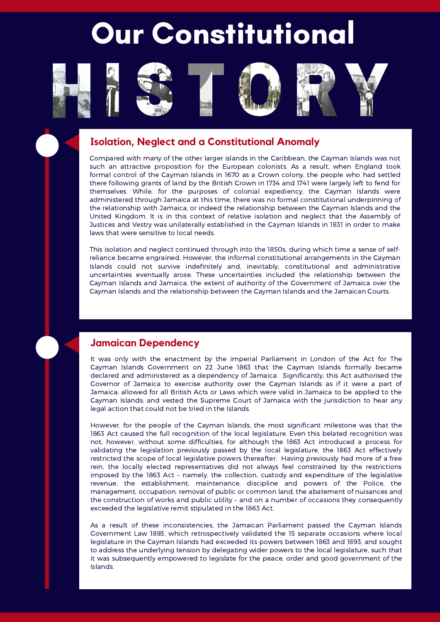# Our Constitutional









# **Isolation, Neglect and a Constitutional Anomaly**

Compared with many of the other larger islands in the Caribbean, the Cayman Islands was not such an attractive proposition for the European colonists. As a result, when England took formal control of the Cayman Islands in 1670 as a Crown colony, the people who had settled there following grants of land by the British Crown in 1734 and 1741 were largely left to fend for themselves. While, for the purposes of colonial expediency, the Cayman Islands were administered through Jamaica at this time, there was no formal constitutional underpinning of the relationship with Jamaica, or indeed the relationship between the Cayman Islands and the United Kingdom. It is in this context of relative isolation and neglect that the Assembly of Justices and Vestry was unilaterally established in the Cayman Islands in 1831 in order to make laws that were sensitive to local needs.

This isolation and neglect continued through into the 1850s, during which time a sense of selfreliance became engrained. However, the informal constitutional arrangements in the Cayman Islands could not survive indefinitely and, inevitably, constitutional and administrative uncertainties eventually arose. These uncertainties included the relationship between the Cayman Islands and Jamaica, the extent of authority of the Government of Jamaica over the Cayman Islands and the relationship between the Cayman Islands and the Jamaican Courts.

# **Jamaican Dependency**

It was only with the enactment by the imperial Parliament in London of the Act for The Cayman Islands Government on 22 June 1863 that the Cayman Islands formally became declared and administered as a dependency of Jamaica. Significantly, this Act authorised the Governor of Jamaica to exercise authority over the Cayman Islands as if it were a part of Jamaica; allowed for all British Acts or Laws which were valid in Jamaica to be applied to the Cayman Islands; and vested the Supreme Court of Jamaica with the jurisdiction to hear any legal action that could not be tried in the Islands.

However, for the people of the Cayman Islands, the most significant milestone was that the 1863 Act caused the full recognition of the local legislature. Even this belated recognition was not, however, without some difficulties, for although the 1863 Act introduced a process for validating the legislation previously passed by the local legislature, the 1863 Act effectively restricted the scope of local legislative powers thereafter. Having previously had more of a free rein, the locally elected representatives did not always feel constrained by the restrictions imposed by the 1863 Act – namely, the collection, custody and expenditure of the legislative revenue, the establishment, maintenance, discipline and powers of the Police, the management, occupation, removal of public or common land, the abatement of nuisances and the construction of works and public utility – and on a number of occasions they consequently exceeded the legislative remit stipulated in the 1863 Act.

As a result of these inconsistencies, the Jamaican Parliament passed the Cayman Islands Government Law 1893, which retrospectively validated the 15 separate occasions where local legislature in the Cayman Islands had exceeded its powers between 1863 and 1893; and sought to address the underlying tension by delegating wider powers to the local legislature, such that it was subsequently empowered to legislate for the peace, order and good government of the Islands.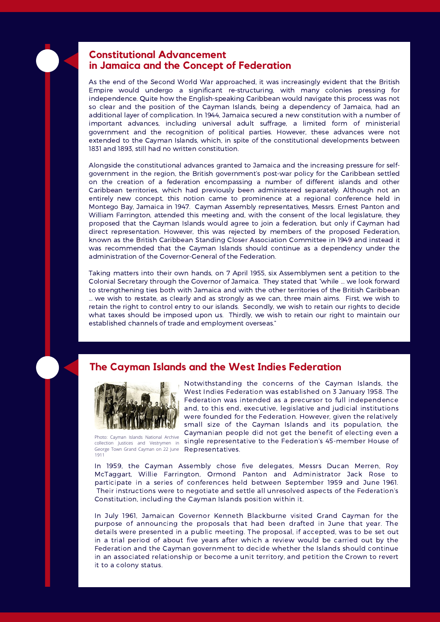

## **Constitutional Advancement in Jamaica and the Concept of Federation**

As the end of the Second World War approached, it was increasingly evident that the British Empire would undergo a significant re-structuring, with many colonies pressing for independence. Quite how the English-speaking Caribbean would navigate this process was not so clear and the position of the Cayman Islands, being a dependency of Jamaica, had an additional layer of complication. In 1944, Jamaica secured a new constitution with a number of important advances, including universal adult suffrage, a limited form of ministerial government and the recognition of political parties. However, these advances were not extended to the Cayman Islands, which, in spite of the constitutional developments between 1831 and 1893, still had no written constitution.

Alongside the constitutional advances granted to Jamaica and the increasing pressure for selfgovernment in the region, the British government's post-war policy for the Caribbean settled on the creation of a federation encompassing a number of different islands and other Caribbean territories, which had previously been administered separately. Although not an entirely new concept, this notion came to prominence at a regional conference held in Montego Bay, Jamaica in 1947. Cayman Assembly representatives, Messrs. Ernest Panton and William Farrington, attended this meeting and, with the consent of the local legislature, they proposed that the Cayman Islands would agree to join a federation, but only if Cayman had direct representation. However, this was rejected by members of the proposed Federation, known as the British Caribbean Standing Closer Association Committee in 1949 and instead it was recommended that the Cayman Islands should continue as a dependency under the administration of the Governor-General of the Federation.

Taking matters into their own hands, on 7 April 1955, six Assemblymen sent a petition to the Colonial Secretary through the Governor of Jamaica. They stated that "while … we look forward to strengthening ties both with Jamaica and with the other territories of the British Caribbean … we wish to restate, as clearly and as strongly as we can, three main aims. First, we wish to retain the right to control entry to our islands. Secondly, we wish to retain our rights to decide what taxes should be imposed upon us. Thirdly, we wish to retain our right to maintain our established channels of trade and employment overseas."

# **The Cayman Islands and the West Indies Federation**



Photo: Cayman Islands National Archive collection Justices and Vestrymen in George Town Grand Cayman on 22 June 1911

Notwithstanding the concerns of the Cayman Islands, the West Indies Federation was established on 3 January 1958. The Federation was intended as a precursor to full independence and, to this end, executive, legislative and judicial institutions were founded for the Federation. However, given the relatively small size of the Cayman Islands and its population, the Caymanian people did not get the benefit of electing even a single representative to the Federation's 45-member House of Representatives.

In 1959, the Cayman Assembly chose five delegates, Messrs Ducan Merren, Roy McTaggart, Willie Farrington, Ormond Panton and Administrator Jack Rose to participate in a series of conferences held between September 1959 and June 1961. Their instructions were to negotiate and settle all unresolved aspects of the Federation's Constitution, including the Cayman Islands position within it.

In July 1961, Jamaican Governor Kenneth Blackburne visited Grand Cayman for the purpose of announcing the proposals that had been drafted in June that year. The details were presented in a public meeting. The proposal, if accepted, was to be set out in a trial period of about five years after which a review would be carried out by the Federation and the Cayman government to decide whether the Islands should continue in an associated relationship or become a unit territory, and petition the Crown to revert it to a colony status.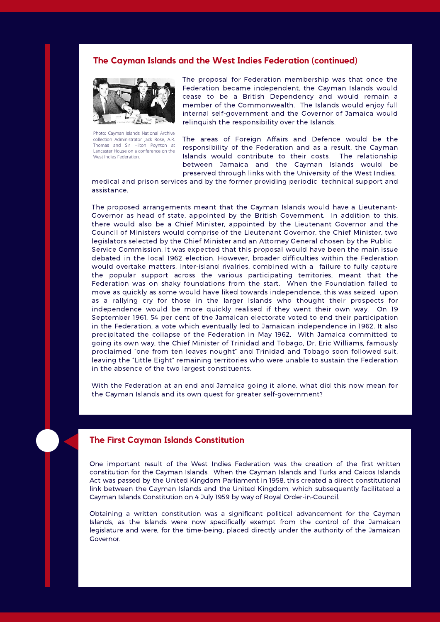#### **The Cayman Islands and the West Indies Federation (continued)**



Photo: Cayman Islands National Archive collection Administrator Jack Rose, A.R. Thomas and Sir Hilton Poynton at Lancaster House on a conference on the West Indies Federation.

The proposal for Federation membership was that once the Federation became independent, the Cayman Islands would cease to be a British Dependency and would remain a member of the Commonwealth. The Islands would enjoy full internal self-government and the Governor of Jamaica would relinquish the responsibility over the Islands.

The areas of Foreign Affairs and Defence would be the responsibility of the Federation and as a result, the Cayman Islands would contribute to their costs. The relationship between Jamaica and the Cayman Islands would be preserved through links with the University of the West Indies,

medical and prison services and by the former providing periodic technical support and assistance.

The proposed arrangements meant that the Cayman Islands would have a Lieutenant-Governor as head of state, appointed by the British Government. In addition to this, there would also be a Chief Minister, appointed by the Lieutenant Governor and the Council of Ministers would comprise of the Lieutenant Governor, the Chief Minister, two legislators selected by the Chief Minister and an Attorney General chosen by the Public Service Commission. It was expected that this proposal would have been the main issue debated in the local 1962 election. However, broader difficulties within the Federation would overtake matters. Inter-island rivalries, combined with a failure to fully capture the popular support across the various participating territories, meant that the Federation was on shaky foundations from the start. When the Foundation failed to move as quickly as some would have liked towards independence, this was seized upon as a rallying cry for those in the larger Islands who thought their prospects for independence would be more quickly realised if they went their own way. On 19 September 1961, 54 per cent of the Jamaican electorate voted to end their participation in the Federation, a vote which eventually led to Jamaican independence in 1962. It also precipitated the collapse of the Federation in May 1962. With Jamaica committed to going its own way, the Chief Minister of Trinidad and Tobago, Dr. Eric Williams, famously proclaimed "one from ten leaves nought" and Trinidad and Tobago soon followed suit, leaving the "Little Eight" remaining territories who were unable to sustain the Federation in the absence of the two largest constituents.

With the Federation at an end and Jamaica going it alone, what did this now mean for the Cayman Islands and its own quest for greater self-government?

#### **The First Cayman Islands Constitution**

One important result of the West Indies Federation was the creation of the first written constitution for the Cayman Islands. When the Cayman Islands and Turks and Caicos Islands Act was passed by the United Kingdom Parliament in 1958, this created a direct constitutional link between the Cayman Islands and the United Kingdom, which subsequently facilitated a Cayman Islands Constitution on 4 July 1959 by way of Royal Order-in-Council.

Obtaining a written constitution was a significant political advancement for the Cayman Islands, as the Islands were now specifically exempt from the control of the Jamaican legislature and were, for the time-being, placed directly under the authority of the Jamaican Governor.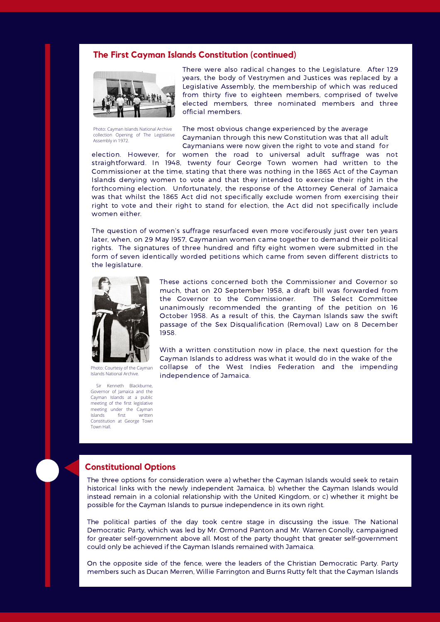#### **The First Cayman Islands Constitution (continued)**



Photo: Cayman Islands National Archive collection Opening of The Legislative Assembly in 1972.

There were also radical changes to the Legislature. After 129 years, the body of Vestrymen and Justices was replaced by a Legislative Assembly, the membership of which was reduced from thirty five to eighteen members, comprised of twelve elected members, three nominated members and three official members.

The most obvious change experienced by the average Caymanian through this new Constitution was that all adult Caymanians were now given the right to vote and stand for

election. However, for women the road to universal adult suffrage was not straightforward. In 1948, twenty four George Town women had written to the Commissioner at the time, stating that there was nothing in the 1865 Act of the Cayman Islands denying women to vote and that they intended to exercise their right in the forthcoming election. Unfortunately, the response of the Attorney General of Jamaica was that whilst the 1865 Act did not specifically exclude women from exercising their right to vote and their right to stand for election, the Act did not specifically include women either.

The question of women's suffrage resurfaced even more vociferously just over ten years later, when, on 29 May l957, Caymanian women came together to demand their political rights. The signatures of three hundred and fifty eight women were submitted in the form of seven identically worded petitions which came from seven different districts to the legislature.



Photo: Courtesy of the Cayman Islands National Archive.

Sir Kenneth Blackburne, Governor of Jamaica and the Cayman Islands at a public meeting of the first legislative meeting under the Cayman Islands first written Constitution at George Town Town Hall.

These actions concerned both the Commissioner and Governor so much, that on 20 September 1958, a draft bill was forwarded from the Governor to the Commissioner. The Select Committee unanimously recommended the granting of the petition on 16 October 1958. As a result of this, the Cayman Islands saw the swift passage of the Sex Disqualification (Removal) Law on 8 December 1958.

With a written constitution now in place, the next question for the Cayman Islands to address was what it would do in the wake of the collapse of the West Indies Federation and the impending independence of Jamaica.

#### **Constitutional Options**

The three options for consideration were a) whether the Cayman Islands would seek to retain historical links with the newly independent Jamaica, b) whether the Cayman Islands would instead remain in a colonial relationship with the United Kingdom, or c) whether it might be possible for the Cayman Islands to pursue independence in its own right.

The political parties of the day took centre stage in discussing the issue. The National Democratic Party, which was led by Mr. Ormond Panton and Mr. Warren Conolly, campaigned for greater self-government above all. Most of the party thought that greater self-government could only be achieved if the Cayman Islands remained with Jamaica.

On the opposite side of the fence, were the leaders of the Christian Democratic Party. Party members such as Ducan Merren, Willie Farrington and Burns Rutty felt that the Cayman Islands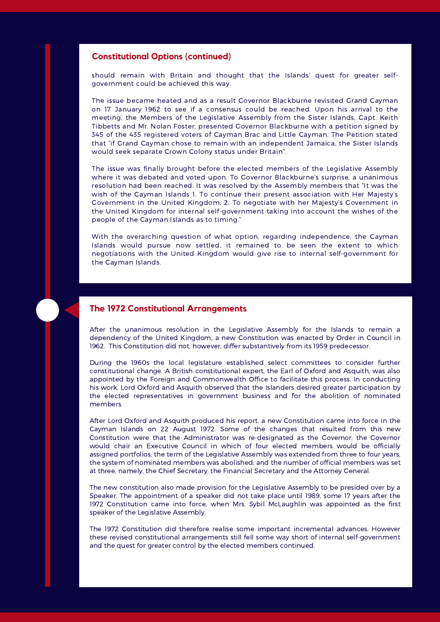#### **Constitutional Options (continued)**

should remain with Britain and thought that the Islands' quest for greater selfgovernment could be achieved this way.

The issue became heated and as a result Governor Blackburne revisited Grand Cayman on 17 January 1962 to see if a consensus could be reached. Upon his arrival to the meeting, the Members of the Legislative Assembly from the Sister Islands, Capt. Keith Tibbetts and Mr. Nolan Foster, presented Governor Blackburne with a petition signed by 345 of the 435 registered voters of Cayman Brac and Little Cayman. The Petition stated that "if Grand Cayman chose to remain with an independent Jamaica, the Sister Islands would seek separate Crown Colony status under Britain".

The issue was finally brought before the elected members of the Legislative Assembly where it was debated and voted upon. To Governor Blackburne's surprise, a unanimous resolution had been reached. It was resolved by the Assembly members that "It was the wish of the Cayman Islands 1. To continue their present association with Her Majesty's Government in the United Kingdom; 2. To negotiate with her Majesty's Government in the United Kingdom for internal self-government taking into account the wishes of the people of the Cayman Islands as to timing."

With the overarching question of what option, regarding independence, the Cayman Islands would pursue now settled, it remained to be seen the extent to which negotiations with the United Kingdom would give rise to internal self-government for the Cayman Islands.



### **The 1972 Constitutional Arrangements**

After the unanimous resolution in the Legislative Assembly for the Islands to remain a dependency of the United Kingdom, a new Constitution was enacted by Order in Council in 1962. This Constitution did not, however, differ substantively from its 1959 predecessor.

During the 1960s the local legislature established select committees to consider further constitutional change. A British constitutional expert, the Earl of Oxford and Asquith, was also appointed by the Foreign and Commonwealth Office to facilitate this process. In conducting his work, Lord Oxford and Asquith observed that the Islanders desired greater participation by the elected representatives in government business and for the abolition of nominated members.

After Lord Oxford and Asquith produced his report, a new Constitution came into force in the Cayman Islands on 22 August 1972. Some of the changes that resulted from this new Constitution were that the Administrator was re-designated as the Governor; the Governor would chair an Executive Council in which of four elected members would be officially assigned portfolios; the term of the Legislative Assembly was extended from three to four years; the system of nominated members was abolished; and the number of official members was set at three, namely, the Chief Secretary, the Financial Secretary and the Attorney General.

The new constitution also made provision for the Legislative Assembly to be presided over by a Speaker. The appointment of a speaker did not take place until 1989, some 17 years after the 1972 Constitution came into force, when Mrs. Sybil McLaughlin was appointed as the first speaker of the Legislative Assembly.

The 1972 Constitution did therefore realise some important incremental advances. However these revised constitutional arrangements still fell some way short of internal self-government and the quest for greater control by the elected members continued.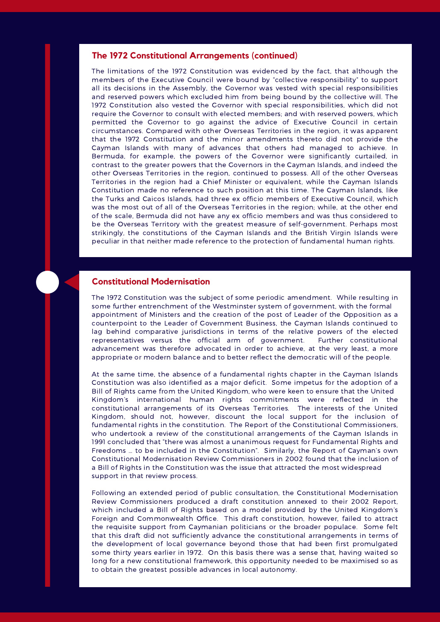#### **The 1972 Constitutional Arrangements (continued)**

The limitations of the 1972 Constitution was evidenced by the fact, that although the members of the Executive Council were bound by "collective responsibility" to support all its decisions in the Assembly, the Governor was vested with special responsibilities and reserved powers which excluded him from being bound by the collective will. The 1972 Constitution also vested the Governor with special responsibilities, which did not require the Governor to consult with elected members; and with reserved powers, which permitted the Governor to go against the advice of Executive Council in certain circumstances. Compared with other Overseas Territories in the region, it was apparent that the 1972 Constitution and the minor amendments thereto did not provide the Cayman Islands with many of advances that others had managed to achieve. In Bermuda, for example, the powers of the Governor were significantly curtailed, in contrast to the greater powers that the Governors in the Cayman Islands, and indeed the other Overseas Territories in the region, continued to possess. All of the other Overseas Territories in the region had a Chief Minister or equivalent, while the Cayman Islands Constitution made no reference to such position at this time. The Cayman Islands, like the Turks and Caicos Islands, had three ex officio members of Executive Council, which was the most out of all of the Overseas Territories in the region; while, at the other end of the scale, Bermuda did not have any ex officio members and was thus considered to be the Overseas Territory with the greatest measure of self-government. Perhaps most strikingly, the constitutions of the Cayman Islands and the British Virgin Islands were peculiar in that neither made reference to the protection of fundamental human rights.

#### **Constitutional Modernisation**

The 1972 Constitution was the subject of some periodic amendment. While resulting in some further entrenchment of the Westminster system of government, with the formal appointment of Ministers and the creation of the post of Leader of the Opposition as a counterpoint to the Leader of Government Business, the Cayman Islands continued to lag behind comparative jurisdictions in terms of the relative powers of the elected representatives versus the official arm of government. Further constitutional advancement was therefore advocated in order to achieve, at the very least, a more appropriate or modern balance and to better reflect the democratic will of the people.

At the same time, the absence of a fundamental rights chapter in the Cayman Islands Constitution was also identified as a major deficit. Some impetus for the adoption of a Bill of Rights came from the United Kingdom, who were keen to ensure that the United Kingdom's international human rights commitments were reflected in the constitutional arrangements of its Overseas Territories. The interests of the United Kingdom, should not, however, discount the local support for the inclusion of fundamental rights in the constitution. The Report of the Constitutional Commissioners, who undertook a review of the constitutional arrangements of the Cayman Islands in 1991 concluded that "there was almost a unanimous request for Fundamental Rights and Freedoms … to be included in the Constitution". Similarly, the Report of Cayman's own Constitutional Modernisation Review Commissioners in 2002 found that the inclusion of a Bill of Rights in the Constitution was the issue that attracted the most widespread support in that review process.

Following an extended period of public consultation, the Constitutional Modernisation Review Commissioners produced a draft constitution annexed to their 2002 Report, which included a Bill of Rights based on a model provided by the United Kingdom's Foreign and Commonwealth Office. This draft constitution, however, failed to attract the requisite support from Caymanian politicians or the broader populace. Some felt that this draft did not sufficiently advance the constitutional arrangements in terms of the development of local governance beyond those that had been first promulgated some thirty years earlier in 1972. On this basis there was a sense that, having waited so long for a new constitutional framework, this opportunity needed to be maximised so as to obtain the greatest possible advances in local autonomy.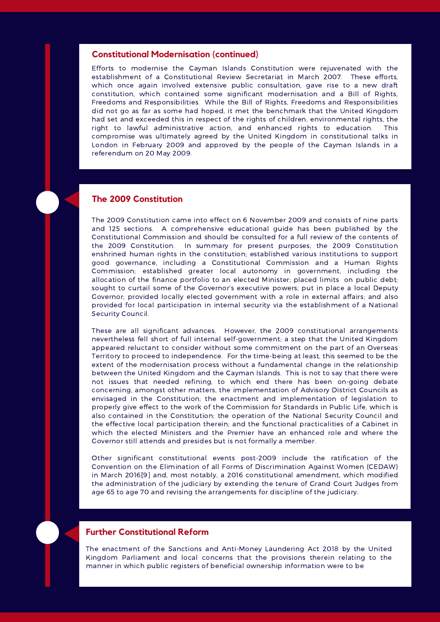#### **Constitutional Modernisation (continued)**

Efforts to modernise the Cayman Islands Constitution were rejuvenated with the establishment of a Constitutional Review Secretariat in March 2007. These efforts, which once again involved extensive public consultation, gave rise to a new draft constitution, which contained some significant modernisation and a Bill of Rights, Freedoms and Responsibilities. While the Bill of Rights, Freedoms and Responsibilities did not go as far as some had hoped, it met the benchmark that the United Kingdom had set and exceeded this in respect of the rights of children, environmental rights, the right to lawful administrative action, and enhanced rights to education. This compromise was ultimately agreed by the United Kingdom in constitutional talks in London in February 2009 and approved by the people of the Cayman Islands in a referendum on 20 May 2009.

#### **The 2009 Constitution**

The 2009 Constitution came into effect on 6 November 2009 and consists of nine parts and 125 sections. A comprehensive educational guide has been published by the Constitutional Commission and should be consulted for a full review of the contents of the 2009 Constitution. In summary for present purposes, the 2009 Constitution enshrined human rights in the constitution; established various institutions to support good governance, including a Constitutional Commission and a Human Rights Commission; established greater local autonomy in government, including the allocation of the finance portfolio to an elected Minister; placed limits on public debt; sought to curtail some of the Governor's executive powers; put in place a local Deputy Governor; provided locally elected government with a role in external affairs; and also provided for local participation in internal security via the establishment of a National Security Council.

These are all significant advances. However, the 2009 constitutional arrangements nevertheless fell short of full internal self-government; a step that the United Kingdom appeared reluctant to consider without some commitment on the part of an Overseas Territory to proceed to independence. For the time-being at least, this seemed to be the extent of the modernisation process without a fundamental change in the relationship between the United Kingdom and the Cayman Islands. This is not to say that there were not issues that needed refining, to which end there has been on-going debate concerning, amongst other matters, the implementation of Advisory District Councils as envisaged in the Constitution; the enactment and implementation of legislation to properly give effect to the work of the Commission for Standards in Public Life, which is also contained in the Constitution; the operation of the National Security Council and the effective local participation therein; and the functional practicalities of a Cabinet in which the elected Ministers and the Premier have an enhanced role and where the Governor still attends and presides but is not formally a member.

Other significant constitutional events post-2009 include the ratification of the Convention on the Elimination of all Forms of Discrimination Against Women (CEDAW) in March 2016[9] and, most notably, a 2016 constitutional amendment, which modified the administration of the judiciary by extending the tenure of Grand Court Judges from age 65 to age 70 and revising the arrangements for discipline of the judiciary.

### **Further Constitutional Reform**

The enactment of the Sanctions and Anti-Money Laundering Act 2018 by the United Kingdom Parliament and local concerns that the provisions therein relating to the manner in which public registers of beneficial ownership information were to be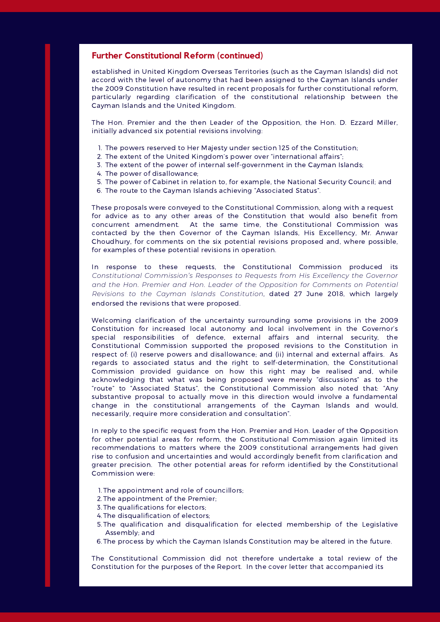#### **Further Constitutional Reform (continued)**

established in United Kingdom Overseas Territories (such as the Cayman Islands) did not accord with the level of autonomy that had been assigned to the Cayman Islands under the 2009 Constitution have resulted in recent proposals for further constitutional reform, particularly regarding clarification of the constitutional relationship between the Cayman Islands and the United Kingdom.

The Hon. Premier and the then Leader of the Opposition, the Hon. D. Ezzard Miller, initially advanced six potential revisions involving:

- 1. The powers reserved to Her Majesty under section 125 of the Constitution;
- 2. The extent of the United Kingdom's power over "international affairs";
- 3. The extent of the power of internal self-government in the Cayman Islands;
- 4. The power of disallowance;
- 5. The power of Cabinet in relation to, for example, the National Security Council; and
- 6. The route to the Cayman Islands achieving "Associated Status".

These proposals were conveyed to the Constitutional Commission, along with a request for advice as to any other areas of the Constitution that would also benefit from concurrent amendment. At the same time, the Constitutional Commission was contacted by the then Governor of the Cayman Islands, His Excellency, Mr. Anwar Choudhury, for comments on the six potential revisions proposed and, where possible, for examples of these potential revisions in operation.

In response to these requests, the Constitutional Commission produced its *Constitutional Commission's Responses to Requests from His Excellency the Governor and the Hon. Premier and Hon. Leader of the Opposition for Comments on Potential Revisions to the Cayman Islands Constitution*, dated 27 June 2018, which largely endorsed the revisions that were proposed.

Welcoming clarification of the uncertainty surrounding some provisions in the 2009 Constitution for increased local autonomy and local involvement in the Governor's special responsibilities of defence, external affairs and internal security, the Constitutional Commission supported the proposed revisions to the Constitution in respect of: (i) reserve powers and disallowance; and (ii) internal and external affairs. As regards to associated status and the right to self-determination, the Constitutional Commission provided guidance on how this right may be realised and, while acknowledging that what was being proposed were merely "discussions" as to the "route" to "Associated Status", the Constitutional Commission also noted that: "Any substantive proposal to actually move in this direction would involve a fundamental change in the constitutional arrangements of the Cayman Islands and would, necessarily, require more consideration and consultation".

In reply to the specific request from the Hon. Premier and Hon. Leader of the Opposition for other potential areas for reform, the Constitutional Commission again limited its recommendations to matters where the 2009 constitutional arrangements had given rise to confusion and uncertainties and would accordingly benefit from clarification and greater precision. The other potential areas for reform identified by the Constitutional Commission were:

- 1. The appointment and role of councillors;
- 2. The appointment of the Premier;
- 3. The qualifications for electors;
- 4. The disqualification of electors;
- 5. The qualification and disqualification for elected membership of the Legislative Assembly; and
- 6. The process by which the Cayman Islands Constitution may be altered in the future.

The Constitutional Commission did not therefore undertake a total review of the Constitution for the purposes of the Report. In the cover letter that accompanied its